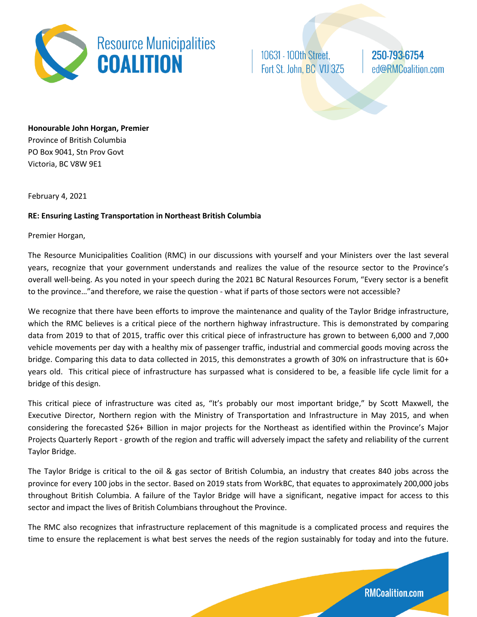

10631 - 100th Street, Fort St. John, BC V1J 3Z5 250-793-6754 ed@RMCoalition.com

**Honourable John Horgan, Premier** Province of British Columbia PO Box 9041, Stn Prov Govt Victoria, BC V8W 9E1

February 4, 2021

## **RE: Ensuring Lasting Transportation in Northeast British Columbia**

Premier Horgan,

The Resource Municipalities Coalition (RMC) in our discussions with yourself and your Ministers over the last several years, recognize that your government understands and realizes the value of the resource sector to the Province's overall well-being. As you noted in your speech during the 2021 BC Natural Resources Forum, "Every sector is a benefit to the province…"and therefore, we raise the question - what if parts of those sectors were not accessible?

We recognize that there have been efforts to improve the maintenance and quality of the Taylor Bridge infrastructure, which the RMC believes is a critical piece of the northern highway infrastructure. This is demonstrated by comparing data from 2019 to that of 2015, traffic over this critical piece of infrastructure has grown to between 6,000 and 7,000 vehicle movements per day with a healthy mix of passenger traffic, industrial and commercial goods moving across the bridge. Comparing this data to data collected in 2015, this demonstrates a growth of 30% on infrastructure that is 60+ years old. This critical piece of infrastructure has surpassed what is considered to be, a feasible life cycle limit for a bridge of this design.

This critical piece of infrastructure was cited as, "It's probably our most important bridge," by Scott Maxwell, the Executive Director, Northern region with the Ministry of Transportation and Infrastructure in May 2015, and when considering the forecasted \$26+ Billion in major projects for the Northeast as identified within the Province's Major Projects Quarterly Report - growth of the region and traffic will adversely impact the safety and reliability of the current Taylor Bridge.

The Taylor Bridge is critical to the oil & gas sector of British Columbia, an industry that creates 840 jobs across the province for every 100 jobs in the sector. Based on 2019 stats from WorkBC, that equates to approximately 200,000 jobs throughout British Columbia. A failure of the Taylor Bridge will have a significant, negative impact for access to this sector and impact the lives of British Columbians throughout the Province.

The RMC also recognizes that infrastructure replacement of this magnitude is a complicated process and requires the time to ensure the replacement is what best serves the needs of the region sustainably for today and into the future.

**RMCoalition.com**